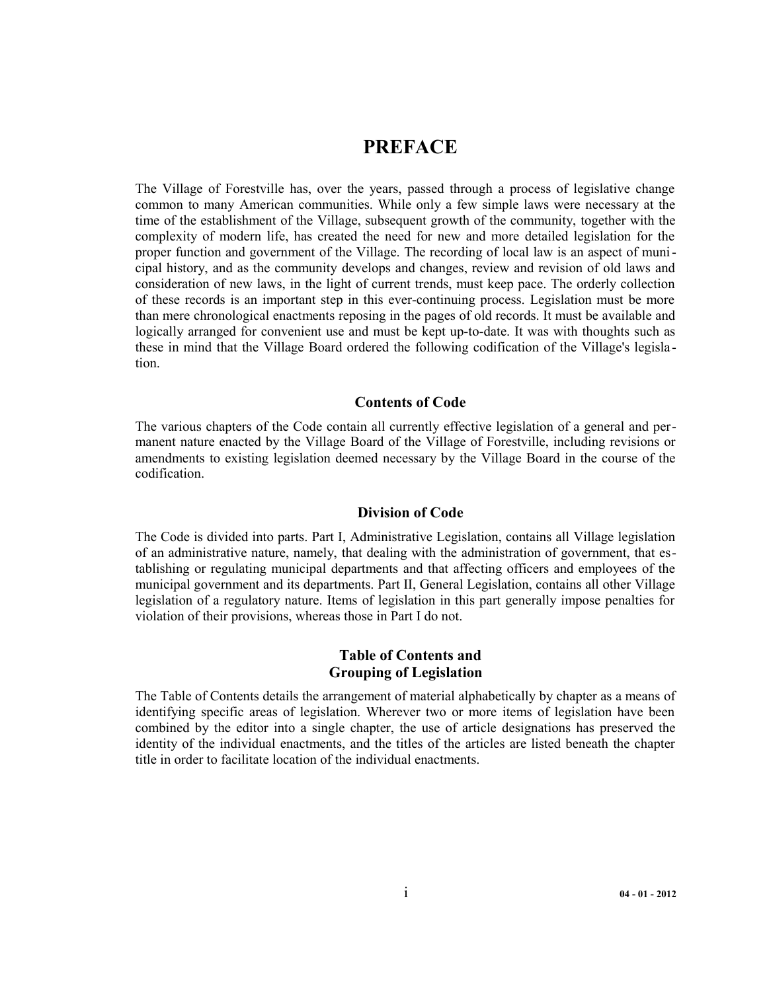# **PREFACE**

The Village of Forestville has, over the years, passed through a process of legislative change common to many American communities. While only a few simple laws were necessary at the time of the establishment of the Village, subsequent growth of the community, together with the complexity of modern life, has created the need for new and more detailed legislation for the proper function and government of the Village. The recording of local law is an aspect of municipal history, and as the community develops and changes, review and revision of old laws and consideration of new laws, in the light of current trends, must keep pace. The orderly collection of these records is an important step in this ever-continuing process. Legislation must be more than mere chronological enactments reposing in the pages of old records. It must be available and logically arranged for convenient use and must be kept up-to-date. It was with thoughts such as these in mind that the Village Board ordered the following codification of the Village's legisla tion.

# **Contents of Code**

The various chapters of the Code contain all currently effective legislation of a general and permanent nature enacted by the Village Board of the Village of Forestville, including revisions or amendments to existing legislation deemed necessary by the Village Board in the course of the codification.

# **Division of Code**

The Code is divided into parts. Part I, Administrative Legislation, contains all Village legislation of an administrative nature, namely, that dealing with the administration of government, that establishing or regulating municipal departments and that affecting officers and employees of the municipal government and its departments. Part II, General Legislation, contains all other Village legislation of a regulatory nature. Items of legislation in this part generally impose penalties for violation of their provisions, whereas those in Part I do not.

# **Table of Contents and Grouping of Legislation**

The Table of Contents details the arrangement of material alphabetically by chapter as a means of identifying specific areas of legislation. Wherever two or more items of legislation have been combined by the editor into a single chapter, the use of article designations has preserved the identity of the individual enactments, and the titles of the articles are listed beneath the chapter title in order to facilitate location of the individual enactments.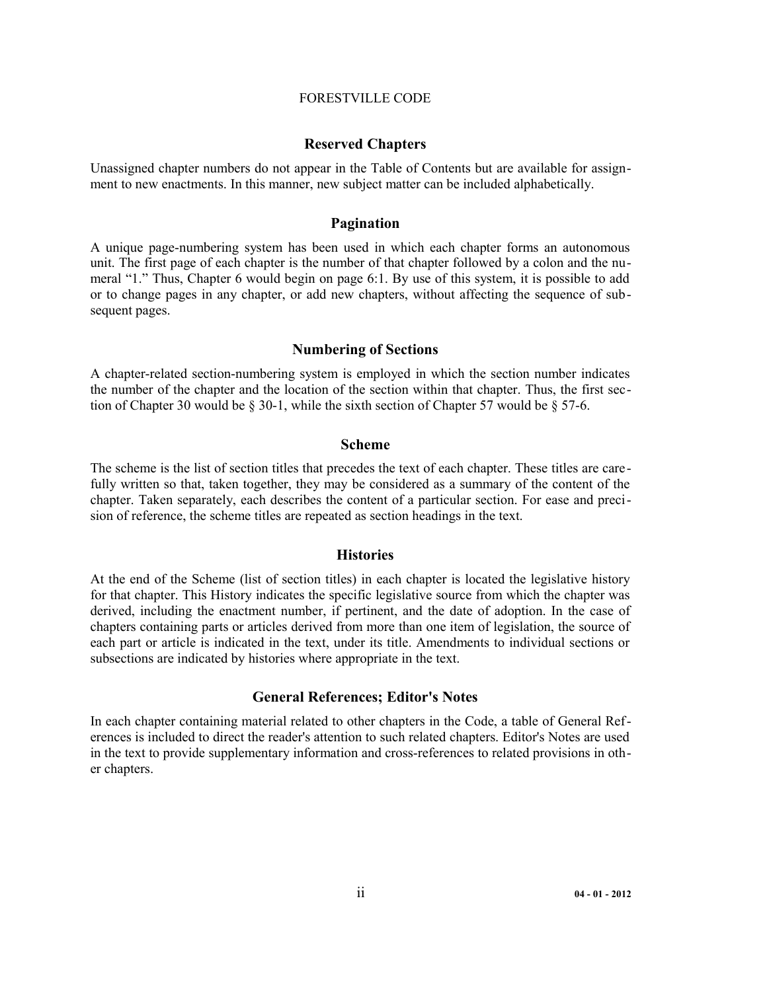#### FORESTVILLE CODE

### **Reserved Chapters**

Unassigned chapter numbers do not appear in the Table of Contents but are available for assignment to new enactments. In this manner, new subject matter can be included alphabetically.

### **Pagination**

A unique page-numbering system has been used in which each chapter forms an autonomous unit. The first page of each chapter is the number of that chapter followed by a colon and the numeral "1." Thus, Chapter 6 would begin on page 6:1. By use of this system, it is possible to add or to change pages in any chapter, or add new chapters, without affecting the sequence of subsequent pages.

### **Numbering of Sections**

A chapter-related section-numbering system is employed in which the section number indicates the number of the chapter and the location of the section within that chapter. Thus, the first section of Chapter 30 would be  $\S$  30-1, while the sixth section of Chapter 57 would be  $\S$  57-6.

#### **Scheme**

The scheme is the list of section titles that precedes the text of each chapter. These titles are care fully written so that, taken together, they may be considered as a summary of the content of the chapter. Taken separately, each describes the content of a particular section. For ease and precision of reference, the scheme titles are repeated as section headings in the text.

#### **Histories**

At the end of the Scheme (list of section titles) in each chapter is located the legislative history for that chapter. This History indicates the specific legislative source from which the chapter was derived, including the enactment number, if pertinent, and the date of adoption. In the case of chapters containing parts or articles derived from more than one item of legislation, the source of each part or article is indicated in the text, under its title. Amendments to individual sections or subsections are indicated by histories where appropriate in the text.

#### **General References; Editor's Notes**

In each chapter containing material related to other chapters in the Code, a table of General References is included to direct the reader's attention to such related chapters. Editor's Notes are used in the text to provide supplementary information and cross-references to related provisions in other chapters.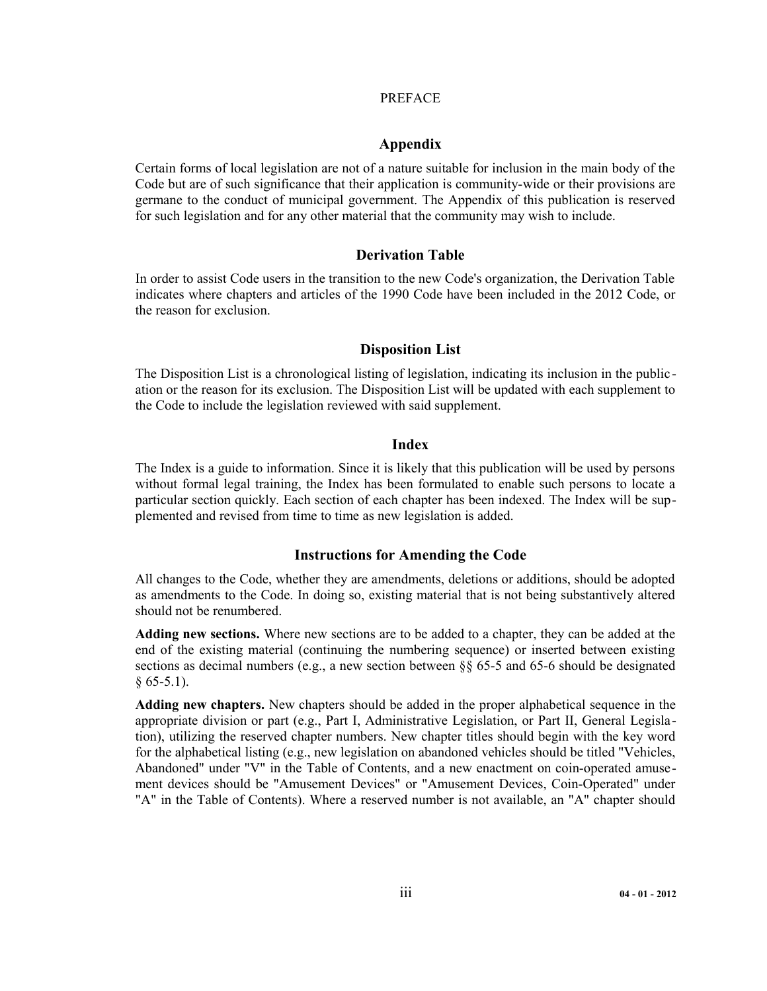### PREFACE

# **Appendix**

Certain forms of local legislation are not of a nature suitable for inclusion in the main body of the Code but are of such significance that their application is community-wide or their provisions are germane to the conduct of municipal government. The Appendix of this publication is reserved for such legislation and for any other material that the community may wish to include.

# **Derivation Table**

In order to assist Code users in the transition to the new Code's organization, the Derivation Table indicates where chapters and articles of the 1990 Code have been included in the 2012 Code, or the reason for exclusion.

# **Disposition List**

The Disposition List is a chronological listing of legislation, indicating its inclusion in the publication or the reason for its exclusion. The Disposition List will be updated with each supplement to the Code to include the legislation reviewed with said supplement.

# **Index**

The Index is a guide to information. Since it is likely that this publication will be used by persons without formal legal training, the Index has been formulated to enable such persons to locate a particular section quickly. Each section of each chapter has been indexed. The Index will be supplemented and revised from time to time as new legislation is added.

# **Instructions for Amending the Code**

All changes to the Code, whether they are amendments, deletions or additions, should be adopted as amendments to the Code. In doing so, existing material that is not being substantively altered should not be renumbered.

**Adding new sections.** Where new sections are to be added to a chapter, they can be added at the end of the existing material (continuing the numbering sequence) or inserted between existing sections as decimal numbers (e.g., a new section between §§ 65-5 and 65-6 should be designated  $§ 65-5.1$ ).

**Adding new chapters.** New chapters should be added in the proper alphabetical sequence in the appropriate division or part (e.g., Part I, Administrative Legislation, or Part II, General Legislation), utilizing the reserved chapter numbers. New chapter titles should begin with the key word for the alphabetical listing (e.g., new legislation on abandoned vehicles should be titled "Vehicles, Abandoned" under "V" in the Table of Contents, and a new enactment on coin-operated amusement devices should be "Amusement Devices" or "Amusement Devices, Coin-Operated" under "A" in the Table of Contents). Where a reserved number is not available, an "A" chapter should